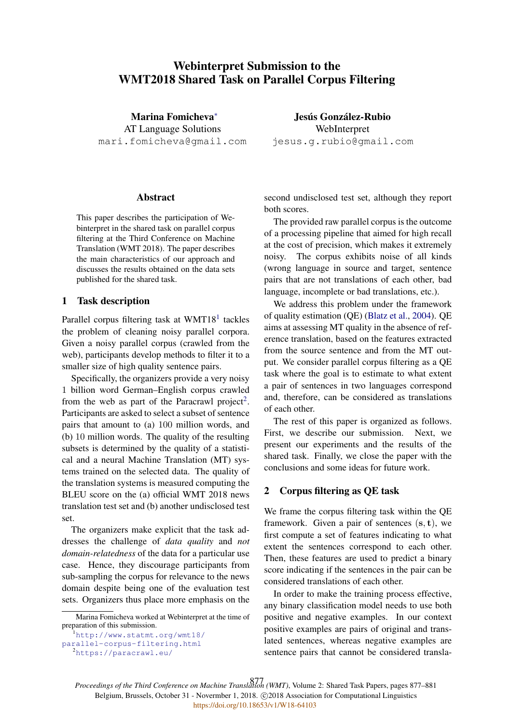# Webinterpret Submission to the WMT2018 Shared Task on Parallel Corpus Filtering

Marina Fomicheva<sup>∗</sup> AT Language Solutions mari.fomicheva@gmail.com

Jesús González-Rubio WebInterpret jesus.g.rubio@gmail.com

# Abstract

This paper describes the participation of Webinterpret in the shared task on parallel corpus filtering at the Third Conference on Machine Translation (WMT 2018). The paper describes the main characteristics of our approach and discusses the results obtained on the data sets published for the shared task.

# 1 Task description

Parallel corpus filtering task at WMT18<sup>1</sup> tackles the problem of cleaning noisy parallel corpora. Given a noisy parallel corpus (crawled from the web), participants develop methods to filter it to a smaller size of high quality sentence pairs.

Specifically, the organizers provide a very noisy 1 billion word German–English corpus crawled from the web as part of the Paracrawl project<sup>2</sup>. Participants are asked to select a subset of sentence pairs that amount to (a) 100 million words, and (b) 10 million words. The quality of the resulting subsets is determined by the quality of a statistical and a neural Machine Translation (MT) systems trained on the selected data. The quality of the translation systems is measured computing the BLEU score on the (a) official WMT 2018 news translation test set and (b) another undisclosed test set.

The organizers make explicit that the task addresses the challenge of *data quality* and *not domain-relatedness* of the data for a particular use case. Hence, they discourage participants from sub-sampling the corpus for relevance to the news domain despite being one of the evaluation test sets. Organizers thus place more emphasis on the

<sup>1</sup>http://www.statmt.org/wmt18/ parallel-corpus-filtering.html

second undisclosed test set, although they report both scores.

The provided raw parallel corpus is the outcome of a processing pipeline that aimed for high recall at the cost of precision, which makes it extremely noisy. The corpus exhibits noise of all kinds (wrong language in source and target, sentence pairs that are not translations of each other, bad language, incomplete or bad translations, etc.).

We address this problem under the framework of quality estimation (QE) (Blatz et al., 2004). QE aims at assessing MT quality in the absence of reference translation, based on the features extracted from the source sentence and from the MT output. We consider parallel corpus filtering as a QE task where the goal is to estimate to what extent a pair of sentences in two languages correspond and, therefore, can be considered as translations of each other.

The rest of this paper is organized as follows. First, we describe our submission. Next, we present our experiments and the results of the shared task. Finally, we close the paper with the conclusions and some ideas for future work.

#### 2 Corpus filtering as QE task

We frame the corpus filtering task within the QE framework. Given a pair of sentences  $(s, t)$ , we first compute a set of features indicating to what extent the sentences correspond to each other. Then, these features are used to predict a binary score indicating if the sentences in the pair can be considered translations of each other.

In order to make the training process effective, any binary classification model needs to use both positive and negative examples. In our context positive examples are pairs of original and translated sentences, whereas negative examples are sentence pairs that cannot be considered transla-

*Proceedings of the Third Conference on Machine Translation (WMT)*, Volume 2: Shared Task Papers, pages 877–881 877Belgium, Brussels, October 31 - Novermber 1, 2018. @2018 Association for Computational Linguistics <https://doi.org/10.18653/v1/W18-64103>

Marina Fomicheva worked at Webinterpret at the time of preparation of this submission.

<sup>2</sup>https://paracrawl.eu/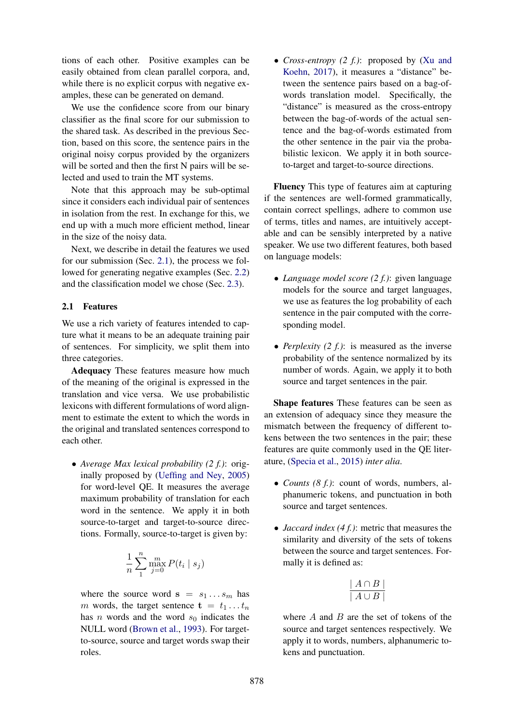tions of each other. Positive examples can be easily obtained from clean parallel corpora, and, while there is no explicit corpus with negative examples, these can be generated on demand.

We use the confidence score from our binary classifier as the final score for our submission to the shared task. As described in the previous Section, based on this score, the sentence pairs in the original noisy corpus provided by the organizers will be sorted and then the first N pairs will be selected and used to train the MT systems.

Note that this approach may be sub-optimal since it considers each individual pair of sentences in isolation from the rest. In exchange for this, we end up with a much more efficient method, linear in the size of the noisy data.

Next, we describe in detail the features we used for our submission (Sec. 2.1), the process we followed for generating negative examples (Sec. 2.2) and the classification model we chose (Sec. 2.3).

# 2.1 Features

We use a rich variety of features intended to capture what it means to be an adequate training pair of sentences. For simplicity, we split them into three categories.

Adequacy These features measure how much of the meaning of the original is expressed in the translation and vice versa. We use probabilistic lexicons with different formulations of word alignment to estimate the extent to which the words in the original and translated sentences correspond to each other.

• *Average Max lexical probability (2 f.)*: originally proposed by (Ueffing and Ney, 2005) for word-level QE. It measures the average maximum probability of translation for each word in the sentence. We apply it in both source-to-target and target-to-source directions. Formally, source-to-target is given by:

$$
\frac{1}{n}\sum_{1}^{n}\max_{j=0}^{m}P(t_i \mid s_j)
$$

where the source word  $s = s_1 \dots s_m$  has m words, the target sentence  $\mathbf{t} = t_1 \dots t_n$ has *n* words and the word  $s_0$  indicates the NULL word (Brown et al., 1993). For targetto-source, source and target words swap their roles.

• *Cross-entropy (2 f.)*: proposed by (Xu and Koehn, 2017), it measures a "distance" between the sentence pairs based on a bag-ofwords translation model. Specifically, the "distance" is measured as the cross-entropy between the bag-of-words of the actual sentence and the bag-of-words estimated from the other sentence in the pair via the probabilistic lexicon. We apply it in both sourceto-target and target-to-source directions.

Fluency This type of features aim at capturing if the sentences are well-formed grammatically, contain correct spellings, adhere to common use of terms, titles and names, are intuitively acceptable and can be sensibly interpreted by a native speaker. We use two different features, both based on language models:

- *Language model score (2 f.)*: given language models for the source and target languages, we use as features the log probability of each sentence in the pair computed with the corresponding model.
- *Perplexity (2 f.)*: is measured as the inverse probability of the sentence normalized by its number of words. Again, we apply it to both source and target sentences in the pair.

Shape features These features can be seen as an extension of adequacy since they measure the mismatch between the frequency of different tokens between the two sentences in the pair; these features are quite commonly used in the QE literature, (Specia et al., 2015) *inter alia*.

- *Counts (8 f.)*: count of words, numbers, alphanumeric tokens, and punctuation in both source and target sentences.
- *Jaccard index (4 f.)*: metric that measures the similarity and diversity of the sets of tokens between the source and target sentences. Formally it is defined as:

$$
\frac{\mid A \cap B \mid}{\mid A \cup B \mid}
$$

where  $A$  and  $B$  are the set of tokens of the source and target sentences respectively. We apply it to words, numbers, alphanumeric tokens and punctuation.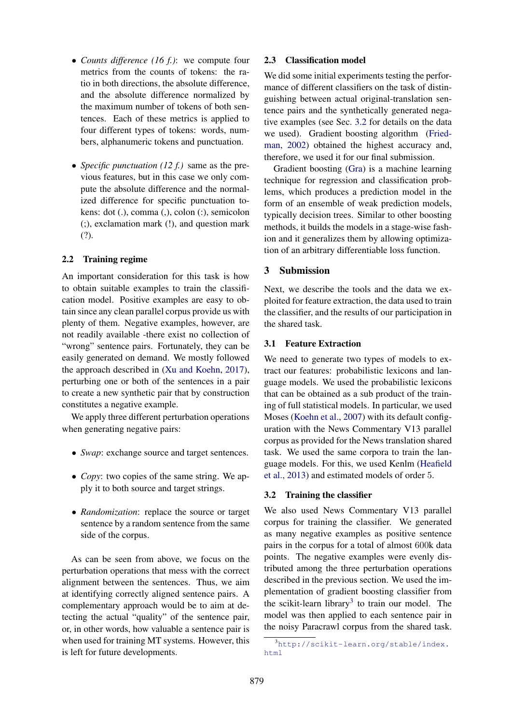- *Counts difference (16 f.)*: we compute four metrics from the counts of tokens: the ratio in both directions, the absolute difference, and the absolute difference normalized by the maximum number of tokens of both sentences. Each of these metrics is applied to four different types of tokens: words, numbers, alphanumeric tokens and punctuation.
- *Specific punctuation (12 f.)* same as the previous features, but in this case we only compute the absolute difference and the normalized difference for specific punctuation tokens: dot (.), comma (,), colon (:), semicolon (;), exclamation mark (!), and question mark (?).

# 2.2 Training regime

An important consideration for this task is how to obtain suitable examples to train the classification model. Positive examples are easy to obtain since any clean parallel corpus provide us with plenty of them. Negative examples, however, are not readily available -there exist no collection of "wrong" sentence pairs. Fortunately, they can be easily generated on demand. We mostly followed the approach described in (Xu and Koehn, 2017), perturbing one or both of the sentences in a pair to create a new synthetic pair that by construction constitutes a negative example.

We apply three different perturbation operations when generating negative pairs:

- *Swap*: exchange source and target sentences.
- *Copy*: two copies of the same string. We apply it to both source and target strings.
- *Randomization*: replace the source or target sentence by a random sentence from the same side of the corpus.

As can be seen from above, we focus on the perturbation operations that mess with the correct alignment between the sentences. Thus, we aim at identifying correctly aligned sentence pairs. A complementary approach would be to aim at detecting the actual "quality" of the sentence pair, or, in other words, how valuable a sentence pair is when used for training MT systems. However, this is left for future developments.

#### 2.3 Classification model

We did some initial experiments testing the performance of different classifiers on the task of distinguishing between actual original-translation sentence pairs and the synthetically generated negative examples (see Sec. 3.2 for details on the data we used). Gradient boosting algorithm (Friedman, 2002) obtained the highest accuracy and, therefore, we used it for our final submission.

Gradient boosting (Gra) is a machine learning technique for regression and classification problems, which produces a prediction model in the form of an ensemble of weak prediction models, typically decision trees. Similar to other boosting methods, it builds the models in a stage-wise fashion and it generalizes them by allowing optimization of an arbitrary differentiable loss function.

# 3 Submission

Next, we describe the tools and the data we exploited for feature extraction, the data used to train the classifier, and the results of our participation in the shared task.

# 3.1 Feature Extraction

We need to generate two types of models to extract our features: probabilistic lexicons and language models. We used the probabilistic lexicons that can be obtained as a sub product of the training of full statistical models. In particular, we used Moses (Koehn et al., 2007) with its default configuration with the News Commentary V13 parallel corpus as provided for the News translation shared task. We used the same corpora to train the language models. For this, we used Kenlm (Heafield et al., 2013) and estimated models of order 5.

#### 3.2 Training the classifier

We also used News Commentary V13 parallel corpus for training the classifier. We generated as many negative examples as positive sentence pairs in the corpus for a total of almost 600k data points. The negative examples were evenly distributed among the three perturbation operations described in the previous section. We used the implementation of gradient boosting classifier from the scikit-learn library<sup>3</sup> to train our model. The model was then applied to each sentence pair in the noisy Paracrawl corpus from the shared task.

<sup>3</sup>http://scikit-learn.org/stable/index. html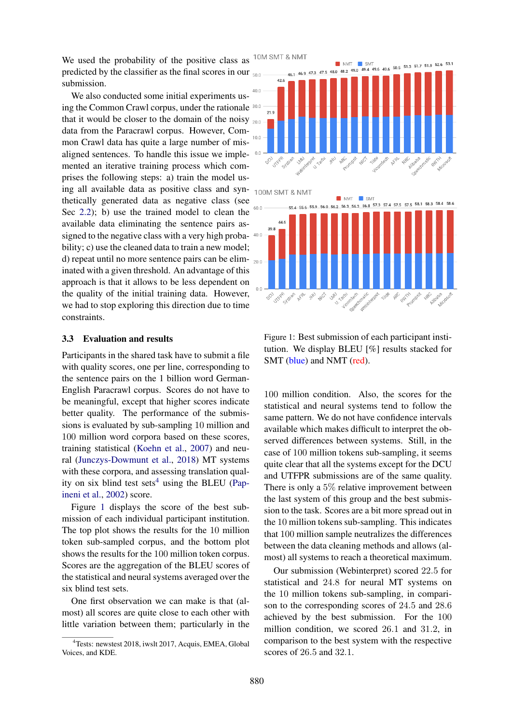We used the probability of the positive class as predicted by the classifier as the final scores in our submission.

We also conducted some initial experiments using the Common Crawl corpus, under the rationale 30.0 that it would be closer to the domain of the noisy  $_{200}$ data from the Paracrawl corpus. However, Common Crawl data has quite a large number of misaligned sentences. To handle this issue we implemented an iterative training process which comprises the following steps: a) train the model using all available data as positive class and synthetically generated data as negative class (see Sec 2.2); b) use the trained model to clean the available data eliminating the sentence pairs assigned to the negative class with a very high probability; c) use the cleaned data to train a new model; d) repeat until no more sentence pairs can be eliminated with a given threshold. An advantage of this approach is that it allows to be less dependent on the quality of the initial training data. However, we had to stop exploring this direction due to time constraints.

#### 3.3 Evaluation and results

Participants in the shared task have to submit a file with quality scores, one per line, corresponding to the sentence pairs on the 1 billion word German-English Paracrawl corpus. Scores do not have to be meaningful, except that higher scores indicate better quality. The performance of the submissions is evaluated by sub-sampling 10 million and 100 million word corpora based on these scores, training statistical (Koehn et al., 2007) and neural (Junczys-Dowmunt et al., 2018) MT systems with these corpora, and assessing translation quality on six blind test sets<sup>4</sup> using the BLEU (Papineni et al., 2002) score.

Figure 1 displays the score of the best submission of each individual participant institution. The top plot shows the results for the 10 million token sub-sampled corpus, and the bottom plot shows the results for the 100 million token corpus. Scores are the aggregation of the BLEU scores of the statistical and neural systems averaged over the six blind test sets.

One first observation we can make is that (almost) all scores are quite close to each other with little variation between them; particularly in the



100M SMT & NMT



Figure 1: Best submission of each participant institution. We display BLEU [%] results stacked for SMT (blue) and NMT (red).

100 million condition. Also, the scores for the statistical and neural systems tend to follow the same pattern. We do not have confidence intervals available which makes difficult to interpret the observed differences between systems. Still, in the case of 100 million tokens sub-sampling, it seems quite clear that all the systems except for the DCU and UTFPR submissions are of the same quality. There is only a 5% relative improvement between the last system of this group and the best submission to the task. Scores are a bit more spread out in the 10 million tokens sub-sampling. This indicates that 100 million sample neutralizes the differences between the data cleaning methods and allows (almost) all systems to reach a theoretical maximum.

Our submission (Webinterpret) scored 22.5 for statistical and 24.8 for neural MT systems on the 10 million tokens sub-sampling, in comparison to the corresponding scores of 24.5 and 28.6 achieved by the best submission. For the 100 million condition, we scored 26.1 and 31.2, in comparison to the best system with the respective scores of 26.5 and 32.1.

<sup>&</sup>lt;sup>4</sup>Tests: newstest 2018, iwslt 2017, Acquis, EMEA, Global Voices, and KDE.